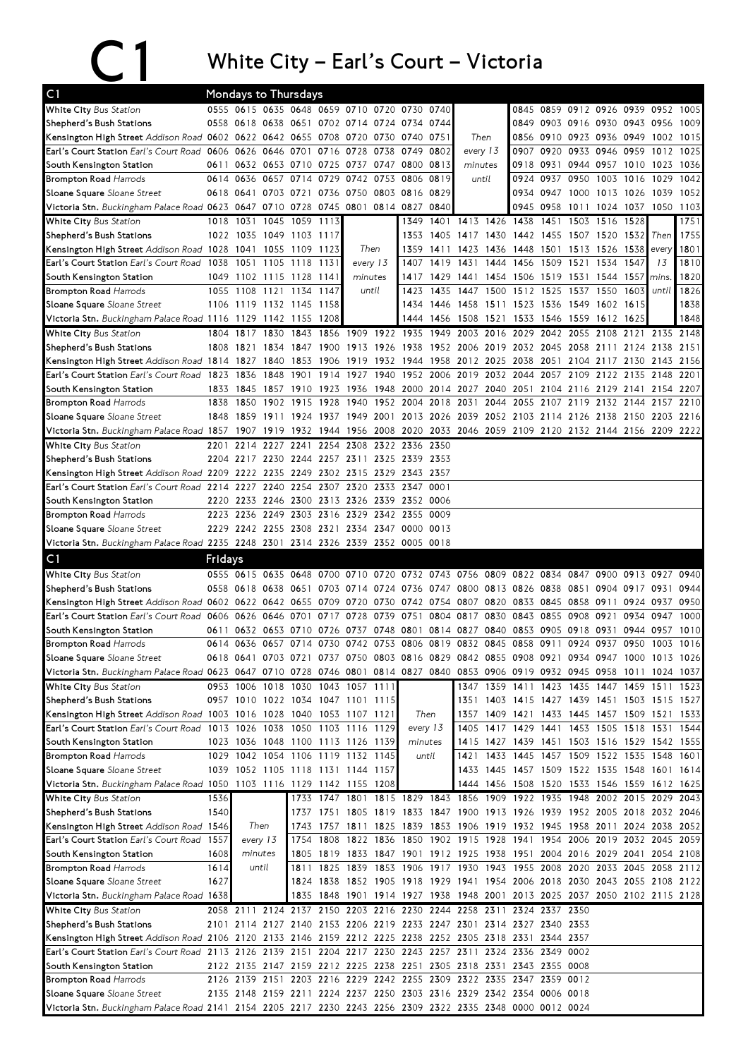## C1 White City – Earl's Court – Victoria

| C1                                                                                                                             |         |           |                     | Mondays to Thursdays               |           |                |           |                                              |           |                                                                                           |           |                     |           |      |                                              |                     |       |           |
|--------------------------------------------------------------------------------------------------------------------------------|---------|-----------|---------------------|------------------------------------|-----------|----------------|-----------|----------------------------------------------|-----------|-------------------------------------------------------------------------------------------|-----------|---------------------|-----------|------|----------------------------------------------|---------------------|-------|-----------|
| White City Bus Station                                                                                                         |         |           |                     |                                    |           |                |           | 0555 0615 0635 0648 0659 0710 0720 0730 0740 |           |                                                                                           |           |                     |           |      | 0845 0859 0912 0926 0939 0952 1005           |                     |       |           |
| Shepherd's Bush Stations                                                                                                       |         |           |                     |                                    |           |                |           | 0558 0618 0638 0651 0702 0714 0724 0734 0744 |           |                                                                                           |           |                     |           |      | 0849 0903 0916 0930 0943 0956                |                     |       | 1009      |
| Kensington High Street Addison Road 0602 0622 0642 0655 0708                                                                   |         |           |                     |                                    |           |                |           | 0720 0730 0740 0751                          |           | Then                                                                                      |           |                     |           |      | 0856 0910 0923 0936 0949 1002 1015           |                     |       |           |
| Earl's Court Station Earl's Court Road 0606 0626 0646 0701                                                                     |         |           |                     |                                    | 0716      | 0728           | 0738      | 0749                                         | 0802      | every 13                                                                                  |           | 0907                | 0920      | 0933 | 0946 0959                                    |                     | 1012  | 1025      |
| South Kensington Station                                                                                                       | 0611    |           |                     | 0632 0653 0710 0725                |           | 0737 0747      |           | 0800 0813                                    |           | minutes                                                                                   |           | 0918                | 0931      |      | 0944 0957 1010                               |                     | 1023  | 1036      |
| <b>Brompton Road Harrods</b>                                                                                                   | 0614    | 0636      |                     | 0657 0714 0729                     |           |                |           | 0742 0753 0806 0819                          |           | until                                                                                     |           | 0924                | 0937 0950 |      | 1003 1016                                    |                     | 1029  | 1042      |
| Sloane Square Sloane Street                                                                                                    | 0618    |           |                     | 0641 0703 0721 0736                |           |                |           | 0750 0803 0816 0829                          |           |                                                                                           |           |                     |           |      | 0934 0947 1000 1013 1026                     |                     | 1039  | 1052      |
| Victoria Stn. Buckingham Palace Road 0623 0647 0710 0728 0745 0801 0814 0827 0840                                              |         |           |                     |                                    |           |                |           |                                              |           |                                                                                           |           | 0945                | 0958      | 1011 |                                              | 1024 1037 1050      |       | 1103      |
| White City Bus Station                                                                                                         | 1018    | 1031      |                     | 1045 1059                          | 1113      |                |           | 1349                                         | 1401      |                                                                                           | 1413 1426 | 1438                | 1451      | 1503 | 1516                                         | 1528                |       | 1751      |
| Shepherd's Bush Stations                                                                                                       |         | 1022 1035 | 1049 1103           |                                    | 1117      |                |           | 1353                                         | 1405      | 1417 1430                                                                                 |           | 1442                |           |      | 1455 1507 1520 1532                          |                     | Then  | 1755      |
| Kensington High Street Addison Road 1028                                                                                       |         | 1041      |                     | 1055 1109 1123                     |           | Then           |           |                                              | 1359 1411 | 1423                                                                                      | 1436      | 1448                | 1501 1513 |      | 1526 1538 every                              |                     |       | 1801      |
| <b>Earl's Court Station</b> Earl's Court Road                                                                                  | 1038    | 1051      |                     | 1105 1118                          | 1131      | every 13       |           | 1407                                         | 1419      | 1431                                                                                      | 1444      | 1456                | 1509      | 1521 | 1534                                         | 1547                | 13    | 1810      |
| South Kensington Station                                                                                                       | 1049    |           |                     | 1102 1115 1128 1141                |           | minutes        |           |                                              |           | 1417 1429 1441 1454 1506 1519 1531                                                        |           |                     |           |      | 1544 1557                                    |                     | mins. | 1820      |
| <b>Brompton Road Harrods</b>                                                                                                   | 1055    |           | 1108 1121 1134      |                                    | 1147      | until          |           | 1423                                         | 1435      | 1447                                                                                      |           | 1500 1512 1525 1537 |           |      | 1550                                         | 1603                | until | 1826      |
| Sloane Square Sloane Street                                                                                                    |         |           | 1106 1119 1132 1145 |                                    | 1158      |                |           | 1434                                         | 1446      | 1458                                                                                      | 1511 1523 |                     | 1536 1549 |      | 1602 1615                                    |                     |       | 1838      |
| Victoria Stn. Buckingham Palace Road 1116 1129 1142 1155                                                                       |         |           |                     |                                    | 1208      |                |           | 1444                                         | 1456      | 1508 1521                                                                                 |           | 1533                | 1546 1559 |      | 1612 1625                                    |                     |       | 1848      |
| White City Bus Station                                                                                                         |         | 1804 1817 | 1830                | 1843                               | 1856      | 1909 1922 1935 |           |                                              | 1949      | 2003 2016                                                                                 |           | 2029                | 2042      | 2055 | 2108 2121                                    |                     | 2135  | 2148      |
| Shepherd's Bush Stations                                                                                                       | 1808    | 1821      | 1834                | 1847                               | 1900      |                |           |                                              |           | 1913 1926 1938 1952 2006 2019 2032                                                        |           |                     | 2045      | 2058 | 2111 2124                                    |                     | 2138  | 2151      |
| Kensington High Street Addison Road 1814                                                                                       |         | 1827      | 1840                | 1853                               | 1906      | 1919           |           | 1932 1944 1958                               |           | 2012 2025 2038                                                                            |           |                     | 2051      |      | 2104 2117 2130                               |                     |       | 2143 2156 |
| Earl's Court Station Earl's Court Road                                                                                         | 1823    | 1836      | 1848                | 1901                               | 1914      | 1927           | 1940      | 1952 2006                                    |           | 2019 2032 2044                                                                            |           |                     | 2057      | 2109 | 2122 2135                                    |                     | 2148  | 2201      |
| South Kensington Station                                                                                                       | 1833    | 1845      |                     | 1857 1910 1923                     |           |                |           |                                              |           | 1936 1948 2000 2014 2027 2040 2051 2104 2116 2129 2141 2154 2207                          |           |                     |           |      |                                              |                     |       |           |
| <b>Brompton Road Harrods</b>                                                                                                   | 1838    | 1850      |                     | 1902 1915                          | 1928      | 1940           |           | 1952 2004 2018                               |           | 2031                                                                                      | 2044      | 2055                | 2107      | 2119 | 2132 2144                                    |                     | 2157  | 2210      |
| Sloane Square Sloane Street                                                                                                    | 1848    | 1859      |                     | 1911 1924                          | 1937      |                |           | 1949 2001 2013 2026                          |           | 2039 2052 2103 2114 2126 2138 2150                                                        |           |                     |           |      |                                              |                     | 2203  | 2216      |
| Victoria Stn. Buckingham Palace Road 1857 1907                                                                                 |         |           | 1919                | 1932                               | 1944      |                |           |                                              |           | 1956 2008 2020 2033 2046 2059 2109 2120 2132 2144 2156 2209 2222                          |           |                     |           |      |                                              |                     |       |           |
| White City Bus Station                                                                                                         | 2201    | 2214      | 2227                | 2241                               | 2254      | 2308           | 2322 2336 |                                              | 2350      |                                                                                           |           |                     |           |      |                                              |                     |       |           |
| Shepherd's Bush Stations                                                                                                       | 2204    |           | 2217 2230 2244      |                                    | 2257 2311 |                |           | 2325 2339 2353                               |           |                                                                                           |           |                     |           |      |                                              |                     |       |           |
| Kensington High Street Addison Road 2209 2222 2235 2249 2302 2315 2329 2343 2357                                               |         |           |                     |                                    |           |                |           |                                              |           |                                                                                           |           |                     |           |      |                                              |                     |       |           |
| Earl's Court Station Earl's Court Road 2214 2227 2240 2254 2307 2320 2333 2347 0001                                            |         |           |                     |                                    |           |                |           |                                              |           |                                                                                           |           |                     |           |      |                                              |                     |       |           |
| South Kensington Station                                                                                                       | 2220    |           |                     |                                    |           |                |           | 2233 2246 2300 2313 2326 2339 2352 0006      |           |                                                                                           |           |                     |           |      |                                              |                     |       |           |
| <b>Brompton Road Harrods</b>                                                                                                   |         | 2223 2236 |                     | 2249 2303 2316                     |           |                |           | 2329 2342 2355 0009                          |           |                                                                                           |           |                     |           |      |                                              |                     |       |           |
| Sloane Square Sloane Street                                                                                                    |         |           |                     | 2229 2242 2255 2308 2321           |           |                |           | 2334 2347 0000 0013                          |           |                                                                                           |           |                     |           |      |                                              |                     |       |           |
| Victoria Stn. Buckingham Palace Road 2235 2248 2301 2314 2326 2339 2352 0005 0018                                              |         |           |                     |                                    |           |                |           |                                              |           |                                                                                           |           |                     |           |      |                                              |                     |       |           |
| C1                                                                                                                             | Fridays |           |                     |                                    |           |                |           |                                              |           |                                                                                           |           |                     |           |      |                                              |                     |       |           |
| White City Bus Station                                                                                                         |         |           |                     | 0555 0615 0635 0648 0700           |           |                |           |                                              |           | 0710 0720 0732 0743 0756 0809 0822 0834 0847                                              |           |                     |           |      |                                              | 0900 0913           | 0927  | 0940      |
| Shepherd's Bush Stations                                                                                                       |         |           |                     | 0558 0618 0638 0651 0703           |           |                |           |                                              |           | 0714 0724 0736 0747 0800 0813 0826                                                        |           |                     | 0838      | 0851 |                                              | 0904 0917           | 0931  | 0944      |
| Kensington High Street Addison Road 0602 0622 0642 0655 0709                                                                   |         |           |                     |                                    |           | 0720           | 0730      | 0742 0754                                    |           | 0807 0820 0833                                                                            |           |                     | 0845      | 0858 | 0911                                         | 0924                | 0937  | 0950      |
| Earl's Court Station Earl's Court Road 0606                                                                                    |         | 0626      | 0646 0701           |                                    | 0717      | 0728           | 0739      | 0751                                         | 0804      | 0817                                                                                      | 0830      | 0843                | 0855      | 0908 | 0921                                         | 0934                | 0947  | 1000      |
| South Kensington Station                                                                                                       | 0611    |           |                     | 0632 0653 0710 0726                |           |                |           |                                              |           | 0737 0748 0801 0814 0827 0840 0853                                                        |           |                     | 0905 0918 |      | 0931                                         | 0944                | 0957  | 1010      |
| <b>Brompton Road Harrods</b>                                                                                                   |         |           |                     | 0614 0636 0657 0714 0730           |           |                |           |                                              |           | 0742 0753 0806 0819 0832 0845 0858                                                        |           |                     | 0911      | 0924 | 0937 0950                                    |                     | 1003  | 1016      |
| Sloane Square Sloane Street                                                                                                    |         |           |                     |                                    |           |                |           |                                              |           | 0618 0641 0703 0721 0737 0750 0803 0816 0829 0842 0855 0908 0921 0934 0947 1000 1013 1026 |           |                     |           |      |                                              |                     |       |           |
| Victoria Stn. Buckingham Palace Road 0623 0647 0710 0728 0746 0801 0814 0827 0840 0853 0906 0919 0932 0945 0958 1011 1024 1037 |         |           |                     |                                    |           |                |           |                                              |           |                                                                                           |           |                     |           |      |                                              |                     |       |           |
| White City Bus Station                                                                                                         |         |           |                     | 0953 1006 1018 1030 1043 1057 1111 |           |                |           |                                              |           |                                                                                           |           |                     |           |      | 1347 1359 1411 1423 1435 1447 1459 1511 1523 |                     |       |           |
| Shepherd's Bush Stations                                                                                                       |         |           |                     | 0957 1010 1022 1034 1047 1101 1115 |           |                |           |                                              |           |                                                                                           |           |                     |           |      | 1351 1403 1415 1427 1439 1451 1503 1515 1527 |                     |       |           |
| Kensington High Street Addison Road 1003 1016 1028 1040 1053 1107 1121                                                         |         |           |                     |                                    |           |                |           | Then                                         |           |                                                                                           |           |                     |           |      | 1357 1409 1421 1433 1445 1457 1509 1521 1533 |                     |       |           |
| Earl's Court Station Earl's Court Road 1013 1026 1038 1050 1103 1116 1129                                                      |         |           |                     |                                    |           |                |           | every 13                                     |           |                                                                                           |           |                     |           |      | 1405 1417 1429 1441 1453 1505 1518 1531 1544 |                     |       |           |
| South Kensington Station                                                                                                       |         |           |                     | 1023 1036 1048 1100 1113 1126 1139 |           |                |           | minutes                                      |           |                                                                                           |           |                     |           |      | 1415 1427 1439 1451 1503 1516 1529 1542 1555 |                     |       |           |
| <b>Brompton Road Harrods</b>                                                                                                   |         |           |                     | 1029 1042 1054 1106 1119 1132 1145 |           |                |           | until                                        |           |                                                                                           |           |                     |           |      | 1421 1433 1445 1457 1509 1522 1535 1548 1601 |                     |       |           |
| Sloane Square Sloane Street                                                                                                    |         |           |                     | 1039 1052 1105 1118 1131 1144 1157 |           |                |           |                                              |           |                                                                                           |           |                     |           |      | 1433 1445 1457 1509 1522 1535 1548 1601 1614 |                     |       |           |
| Victoria Stn. Buckingham Palace Road 1050 1103 1116 1129 1142 1155 1208                                                        |         |           |                     |                                    |           |                |           |                                              |           |                                                                                           |           |                     |           |      | 1444 1456 1508 1520 1533 1546 1559 1612 1625 |                     |       |           |
| White City Bus Station                                                                                                         | 1536    |           |                     |                                    |           |                |           | 1733 1747 1801 1815 1829 1843                |           | 1856 1909 1922 1935 1948                                                                  |           |                     |           |      |                                              | 2002 2015 2029 2043 |       |           |
| Shepherd's Bush Stations                                                                                                       | 1540    |           |                     |                                    |           |                |           |                                              |           | 1737 1751 1805 1819 1833 1847 1900 1913 1926 1939 1952 2005 2018 2032 2046                |           |                     |           |      |                                              |                     |       |           |
| Kensington High Street Addison Road 1546                                                                                       |         |           | Then                |                                    |           |                |           |                                              |           | 1743 1757 1811 1825 1839 1853 1906 1919 1932 1945 1958 2011 2024 2038 2052                |           |                     |           |      |                                              |                     |       |           |
| <b>Earl's Court Station</b> Earl's Court Road                                                                                  | 1557    |           | every 13            |                                    |           |                |           |                                              |           | 1754 1808 1822 1836 1850 1902 1915 1928 1941 1954 2006 2019 2032 2045 2059                |           |                     |           |      |                                              |                     |       |           |
| South Kensington Station                                                                                                       | 1608    |           | minutes             |                                    |           |                |           |                                              |           | 1805 1819 1833 1847 1901 1912 1925 1938 1951 2004 2016 2029 2041 2054 2108                |           |                     |           |      |                                              |                     |       |           |
| <b>Brompton Road Harrods</b>                                                                                                   | 1614    |           | until               |                                    |           |                |           |                                              |           | 1811 1825 1839 1853 1906 1917 1930 1943 1955 2008 2020 2033 2045 2058 2112                |           |                     |           |      |                                              |                     |       |           |
| Sloane Square Sloane Street                                                                                                    | 1627    |           |                     |                                    |           |                |           |                                              |           | 1824 1838 1852 1905 1918 1929 1941 1954 2006 2018 2030 2043 2055 2108 2122                |           |                     |           |      |                                              |                     |       |           |
| Victoria Stn. Buckingham Palace Road 1638                                                                                      |         |           |                     |                                    | 1835 1848 |                |           |                                              |           | 1901 1914 1927 1938 1948 2001 2013 2025 2037 2050 2102 2115 2128                          |           |                     |           |      |                                              |                     |       |           |
| White City Bus Station                                                                                                         |         | 2058 2111 |                     |                                    |           |                |           |                                              |           | 2124 2137 2150 2203 2216 2230 2244 2258 2311 2324 2337 2350                               |           |                     |           |      |                                              |                     |       |           |
| Shepherd's Bush Stations                                                                                                       |         |           |                     |                                    |           |                |           |                                              |           | 2101 2114 2127 2140 2153 2206 2219 2233 2247 2301 2314 2327 2340 2353                     |           |                     |           |      |                                              |                     |       |           |
| Kensington High Street Addison Road 2106 2120 2133 2146 2159 2212 2225 2238 2252 2305 2318 2331 2344 2357                      |         |           |                     |                                    |           |                |           |                                              |           |                                                                                           |           |                     |           |      |                                              |                     |       |           |
| Earl's Court Station Earl's Court Road 2113 2126 2139 2151 2204 2217 2230 2243 2257 2311 2324 2336 2349 0002                   |         |           |                     |                                    |           |                |           |                                              |           |                                                                                           |           |                     |           |      |                                              |                     |       |           |
|                                                                                                                                |         |           |                     |                                    |           |                |           |                                              |           |                                                                                           |           |                     |           |      |                                              |                     |       |           |
| South Kensington Station                                                                                                       |         |           |                     |                                    |           |                |           |                                              |           | 2122 2135 2147 2159 2212 2225 2238 2251 2305 2318 2331 2343 2355 0008                     |           |                     |           |      |                                              |                     |       |           |
| <b>Brompton Road Harrods</b>                                                                                                   |         |           |                     |                                    |           |                |           |                                              |           | 2126 2139 2151 2203 2216 2229 2242 2255 2309 2322 2335 2347 2359 0012                     |           |                     |           |      |                                              |                     |       |           |
| Sloane Square Sloane Street                                                                                                    |         |           |                     |                                    |           |                |           |                                              |           | 2135 2148 2159 2211 2224 2237 2250 2303 2316 2329 2342 2354 0006 0018                     |           |                     |           |      |                                              |                     |       |           |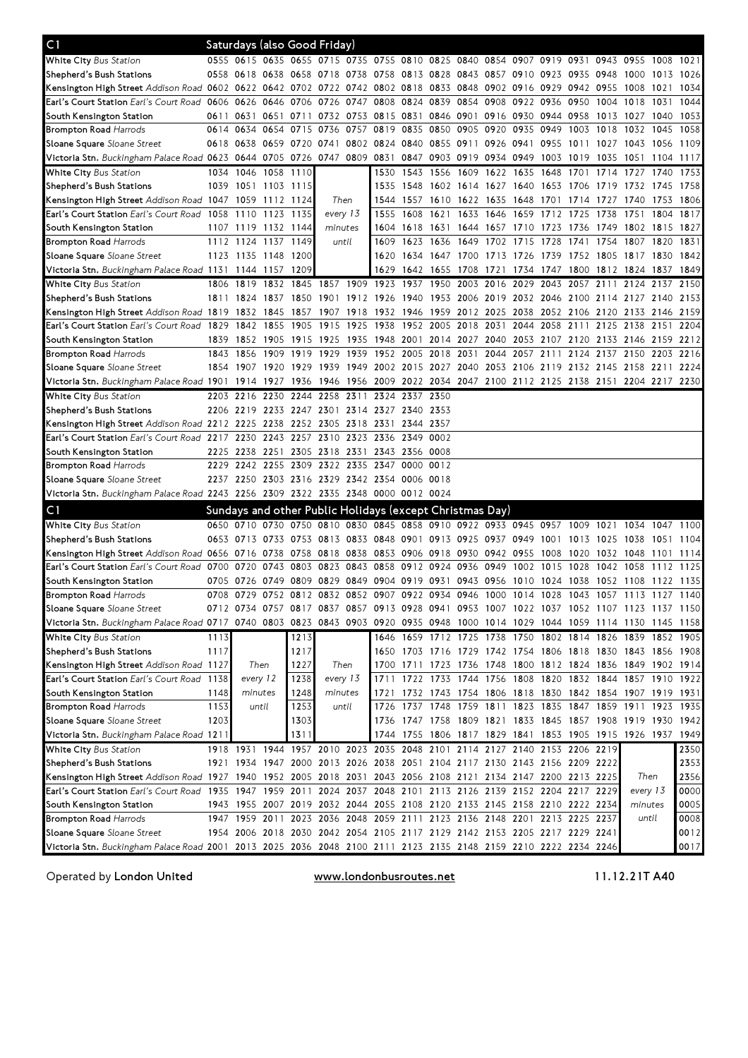| C1                                                                                                                             |      |           | Saturdays (also Good Friday)       |                          |         |           |                                                                            |           |                          |                     |                |                          |           |      |                                    |                                                                                           |           |      |
|--------------------------------------------------------------------------------------------------------------------------------|------|-----------|------------------------------------|--------------------------|---------|-----------|----------------------------------------------------------------------------|-----------|--------------------------|---------------------|----------------|--------------------------|-----------|------|------------------------------------|-------------------------------------------------------------------------------------------|-----------|------|
| <b>White City</b> Bus Station                                                                                                  |      |           |                                    |                          |         |           |                                                                            |           |                          |                     |                |                          |           |      |                                    | 0555 0615 0635 0655 0715 0735 0755 0810 0825 0840 0854 0907 0919 0931 0943 0955 1008 1021 |           |      |
| Shepherd's Bush Stations                                                                                                       |      | 0558 0618 |                                    |                          |         |           | 0638 0658 0718 0738 0758 0813 0828 0843 0857 0910 0923 0935 0948 1000      |           |                          |                     |                |                          |           |      |                                    |                                                                                           | 1013      | 1026 |
| Kensington High Street Addison Road 0602 0622 0642 0702 0722 0742 0802 0818 0833 0848 0902 0916 0929 0942 0955 1008            |      |           |                                    |                          |         |           |                                                                            |           |                          |                     |                |                          |           |      |                                    |                                                                                           | 1021      | 1034 |
| Earl's Court Station Earl's Court Road 0606 0626                                                                               |      |           |                                    | 0646 0706 0726           |         | 0747      | 0808                                                                       | 0824 0839 |                          | 0854 0908 0922 0936 |                |                          |           | 0950 | 1004                               | 1018                                                                                      | 1031      | 1044 |
| South Kensington Station                                                                                                       |      | 0611 0631 |                                    |                          |         |           | 0651 0711 0732 0753 0815 0831 0846 0901 0916 0930 0944 0958                |           |                          |                     |                |                          |           |      |                                    | 1013 1027 1040                                                                            |           | 1053 |
| <b>Brompton Road</b> Harrods                                                                                                   | 0614 | 0634      |                                    | 0654 0715 0736           |         |           | 0757 0819                                                                  | 0835 0850 |                          |                     | 0905 0920 0935 |                          | 0949 1003 |      | 1018                               | 1032                                                                                      | 1045      | 1058 |
| <b>Sloane Square</b> Sloane Street                                                                                             |      | 0618 0638 |                                    |                          |         |           |                                                                            |           |                          |                     |                |                          |           |      |                                    | 0659 0720 0741 0802 0824 0840 0855 0911 0926 0941 0955 1011 1027 1043 1056                |           | 1109 |
| Victoria Stn. Buckingham Palace Road 0623 0644 0705 0726 0747 0809 0831 0847 0903 0919 0934 0949 1003 1019 1035 1051 1104 1117 |      |           |                                    |                          |         |           |                                                                            |           |                          |                     |                |                          |           |      |                                    |                                                                                           |           |      |
| White City Bus Station                                                                                                         | 1034 | 1046      | 1058 1110                          |                          |         |           | 1530                                                                       | 1543      | 1556                     | 1609 1622 1635      |                |                          | 1648      | 1701 | 1714                               | 1727                                                                                      | 1740      | 1753 |
| Shepherd's Bush Stations                                                                                                       |      |           | 1039 1051 1103 1115                |                          |         |           | 1535                                                                       |           | 1548 1602 1614 1627 1640 |                     |                |                          | 1653 1706 |      | 1719 1732                          |                                                                                           | 1745      | 1758 |
| Kensington High Street Addison Road 1047 1059                                                                                  |      |           | 1112 1124                          |                          | Then    |           | 1544                                                                       | 1557 1610 |                          | 1622 1635 1648      |                |                          | 1701      | 1714 | 1727                               | 1740                                                                                      | 1753      | 1806 |
| <b>Earl's Court Station</b> Earl's Court Road 1058 1110                                                                        |      |           | 1123 1135                          |                          |         | every 13  | 1555                                                                       | 1608      | 1621                     |                     |                | 1633 1646 1659 1712 1725 |           |      | 1738                               | 1751                                                                                      | 1804      | 1817 |
| South Kensington Station                                                                                                       |      | 1107 1119 | 1132 1144                          |                          | minutes |           | 1604                                                                       | 1618 1631 |                          | 1644 1657 1710      |                |                          | 1723 1736 |      | 1749 1802                          |                                                                                           | 1815      | 1827 |
| <b>Brompton Road</b> Harrods                                                                                                   |      |           | 1112 1124 1137 1149                |                          | until   |           | 1609                                                                       | 1623      | 1636                     | 1649                | 1702 1715      |                          | 1728      | 1741 | 1754                               | 1807                                                                                      | 1820      | 1831 |
| <b>Sloane Square</b> Sloane Street                                                                                             |      |           | 1123 1135 1148 1200                |                          |         |           | 1620                                                                       |           |                          |                     |                |                          |           |      |                                    | 1634 1647 1700 1713 1726 1739 1752 1805 1817 1830                                         |           | 1842 |
| Victoria Stn. Buckingham Palace Road 1131 1144 1157 1209                                                                       |      |           |                                    |                          |         |           | 1629                                                                       | 1642 1655 |                          | 1708                | 1721           | 1734                     | 1747 1800 |      |                                    | 1812 1824 1837                                                                            |           | 1849 |
| <b>White City</b> Bus Station                                                                                                  | 1806 | 1819      | 1832                               | 1845                     | 1857    |           | 1909 1923                                                                  | 1937      | 1950                     | 2003 2016           |                | 2029                     | 2043      | 2057 | 2111                               | 2124 2137                                                                                 |           | 2150 |
| Shepherd's Bush Stations                                                                                                       |      | 1811 1824 | 1837                               | 1850                     | 1901    |           | 1912 1926                                                                  | 1940      | 1953                     |                     | 2006 2019 2032 |                          | 2046 2100 |      |                                    | 2114 2127 2140                                                                            |           | 2153 |
| Kensington High Street Addison Road 1819 1832                                                                                  |      |           | 1845                               | 1857                     |         | 1907 1918 | 1932 1946 1959                                                             |           |                          |                     |                |                          |           |      |                                    | 2012 2025 2038 2052 2106 2120 2133 2146 2159                                              |           |      |
| <b>Earl's Court Station</b> Earl's Court Road                                                                                  | 1829 | 1842      | 1855                               | 1905 1915                |         | 1925      | 1938                                                                       | 1952 2005 |                          | 2018 2031           |                | 2044                     | 2058      | 2111 | 2125 2138                          |                                                                                           | 2151      | 2204 |
| South Kensington Station                                                                                                       | 1839 | 1852      |                                    | 1905 1915 1925           |         |           | 1935 1948 2001 2014 2027 2040 2053 2107 2120 2133 2146                     |           |                          |                     |                |                          |           |      |                                    |                                                                                           | 2159 2212 |      |
| <b>Brompton Road</b> Harrods                                                                                                   | 1843 | 1856      |                                    | 1909 1919 1929           |         |           | 1939 1952 2005 2018                                                        |           |                          | 2031                | 2044           |                          |           |      |                                    | 2057 2111 2124 2137 2150 2203                                                             |           | 2216 |
| Sloane Square Sloane Street                                                                                                    | 1854 | 1907      |                                    | 1920 1929 1939           |         | 1949      | 2002 2015 2027 2040 2053 2106 2119 2132 2145 2158                          |           |                          |                     |                |                          |           |      |                                    |                                                                                           | 2211      | 2224 |
| Victoria Stn. Buckingham Palace Road 1901–1914–1927–1936–1946–1956                                                             |      |           |                                    |                          |         |           | 2009                                                                       |           |                          |                     |                |                          |           |      |                                    | 2022 2034 2047 2100 2112 2125 2138 2151 2204 2217 2230                                    |           |      |
| <b>White City</b> Bus Station                                                                                                  |      | 2203 2216 | 2230                               | 2244                     | 2258    | 2311      | 2324                                                                       | 2337 2350 |                          |                     |                |                          |           |      |                                    |                                                                                           |           |      |
| Shepherd's Bush Stations                                                                                                       |      |           |                                    |                          |         |           | 2206 2219 2233 2247 2301 2314 2327 2340 2353                               |           |                          |                     |                |                          |           |      |                                    |                                                                                           |           |      |
| Kensington High Street Addison Road 2212 2225                                                                                  |      |           | 2238 2252 2305 2318 2331           |                          |         |           |                                                                            | 2344 2357 |                          |                     |                |                          |           |      |                                    |                                                                                           |           |      |
| Earl's Court Station Earl's Court Road 2217 2230                                                                               |      |           |                                    | 2243 2257 2310 2323 2336 |         |           |                                                                            | 2349 0002 |                          |                     |                |                          |           |      |                                    |                                                                                           |           |      |
| South Kensington Station                                                                                                       |      | 2225 2238 |                                    |                          |         |           | 2251 2305 2318 2331 2343 2356 0008                                         |           |                          |                     |                |                          |           |      |                                    |                                                                                           |           |      |
| <b>Brompton Road</b> Harrods                                                                                                   |      |           | 2229 2242 2255 2309 2322 2335 2347 |                          |         |           |                                                                            | 0000 0012 |                          |                     |                |                          |           |      |                                    |                                                                                           |           |      |
| <b>Sloane Square</b> Sloane Street                                                                                             |      |           |                                    |                          |         |           | 2237 2250 2303 2316 2329 2342 2354 0006 0018                               |           |                          |                     |                |                          |           |      |                                    |                                                                                           |           |      |
| Victoria Stn. Buckingham Palace Road 2243 2256 2309 2322 2335 2348 0000 0012 0024                                              |      |           |                                    |                          |         |           |                                                                            |           |                          |                     |                |                          |           |      |                                    |                                                                                           |           |      |
| C1                                                                                                                             |      |           |                                    |                          |         |           | Sundays and other Public Holidays (except Christmas Day)                   |           |                          |                     |                |                          |           |      |                                    |                                                                                           |           |      |
| White City Bus Station                                                                                                         |      |           |                                    |                          |         |           | 0650 0710 0730 0750 0810 0830 0845 0858 0910 0922 0933 0945 0957           |           |                          |                     |                |                          |           | 1009 | 1021                               | 1034                                                                                      | 1047      | 1100 |
| Shepherd's Bush Stations                                                                                                       |      | 0653 0713 |                                    |                          |         |           | 0733 0753 0813 0833 0848 0901 0913                                         |           |                          | 0925 0937 0949      |                |                          | 1001      | 1013 | 1025                               | 1038                                                                                      | 1051      | 1104 |
| Kensington High Street Addison Road 0656 0716                                                                                  |      |           |                                    | 0738 0758 0818 0838      |         |           | 0853 0906 0918                                                             |           |                          | 0930 0942 0955      |                |                          | 1008      | 1020 | 1032 1048                          |                                                                                           | 1101      | 1114 |
| Earl's Court Station Earl's Court Road                                                                                         |      | 0700 0720 |                                    | 0743 0803 0823           |         | 0843 0858 |                                                                            | 0912 0924 |                          |                     | 0936 0949 1002 |                          | 1015      | 1028 | 1042 1058                          |                                                                                           | 1112      | 1125 |
| South Kensington Station                                                                                                       |      | 0705 0726 |                                    |                          |         |           | 0749 0809 0829 0849 0904 0919 0931                                         |           |                          |                     |                |                          |           |      | 0943 0956 1010 1024 1038 1052 1108 |                                                                                           | 1122 1135 |      |
| <b>Brompton Road Harrods</b>                                                                                                   |      |           |                                    |                          |         |           |                                                                            |           |                          |                     |                |                          |           |      |                                    | 0708 0729 0752 0812 0832 0852 0907 0922 0934 0946 1000 1014 1028 1043 1057 1113 1127 1140 |           |      |
| Sloane Square Sloane Street                                                                                                    |      |           |                                    |                          |         |           |                                                                            |           |                          |                     |                |                          |           |      |                                    | 0712 0734 0757 0817 0837 0857 0913 0928 0941 0953 1007 1022 1037 1052 1107 1123 1137 1150 |           |      |
| Victoria Stn. Buckingham Palace Road 0717 0740 0803 0823 0843 0903 0920 0935 0948 1000 1014 1029 1044 1059 1114 1130 1145 1158 |      |           |                                    |                          |         |           |                                                                            |           |                          |                     |                |                          |           |      |                                    |                                                                                           |           |      |
| White City Bus Station                                                                                                         | 1113 |           |                                    | 1213                     |         |           |                                                                            |           |                          |                     |                |                          |           |      |                                    | 1646 1659 1712 1725 1738 1750 1802 1814 1826 1839 1852 1905                               |           |      |
| Shepherd's Bush Stations                                                                                                       | 1117 |           |                                    | 1217                     |         |           |                                                                            |           |                          |                     |                |                          |           |      |                                    | 1650 1703 1716 1729 1742 1754 1806 1818 1830 1843 1856 1908                               |           |      |
| <b>Kensington High Street</b> Addison Road 1127                                                                                |      |           | Then                               | 1227                     | Then    |           |                                                                            |           |                          |                     |                |                          |           |      |                                    | 1700 1711 1723 1736 1748 1800 1812 1824 1836 1849 1902 1914                               |           |      |
| Earl's Court Station Earl's Court Road                                                                                         | 1138 |           | every 12                           | 1238                     |         | every 13  | 1711                                                                       |           |                          |                     |                |                          |           |      |                                    | 1722 1733 1744 1756 1808 1820 1832 1844 1857 1910 1922                                    |           |      |
| South Kensington Station                                                                                                       | 1148 | minutes   |                                    | 1248                     | minutes |           | 1721                                                                       |           |                          |                     |                |                          |           |      |                                    | 1732 1743 1754 1806 1818 1830 1842 1854 1907 1919 1931                                    |           |      |
| <b>Brompton Road</b> Harrods                                                                                                   | 1153 |           | until                              | 1253                     |         | until     |                                                                            |           |                          |                     |                |                          |           |      |                                    | 1726 1737 1748 1759 1811 1823 1835 1847 1859 1911 1923 1935                               |           |      |
| Sloane Square Sloane Street                                                                                                    | 1203 |           |                                    | 1303                     |         |           |                                                                            |           |                          |                     |                |                          |           |      |                                    | 1736 1747 1758 1809 1821 1833 1845 1857 1908 1919 1930 1942                               |           |      |
| Victoria Stn. Buckingham Palace Road 1211                                                                                      |      |           |                                    | 1311                     |         |           |                                                                            |           |                          |                     |                |                          |           |      |                                    | 1744 1755 1806 1817 1829 1841 1853 1905 1915 1926 1937                                    |           | 1949 |
| White City Bus Station                                                                                                         |      |           |                                    |                          |         |           | 1918 1931 1944 1957 2010 2023 2035 2048 2101 2114 2127 2140 2153 2206 2219 |           |                          |                     |                |                          |           |      |                                    |                                                                                           |           | 2350 |
| Shepherd's Bush Stations                                                                                                       |      |           |                                    |                          |         |           | 1921 1934 1947 2000 2013 2026 2038 2051 2104 2117 2130 2143 2156 2209 2222 |           |                          |                     |                |                          |           |      |                                    |                                                                                           |           | 2353 |
| Kensington High Street Addison Road 1927 1940 1952 2005 2018 2031 2043 2056 2108 2121 2134 2147 2200 2213 2225                 |      |           |                                    |                          |         |           |                                                                            |           |                          |                     |                |                          |           |      |                                    | Then                                                                                      |           | 2356 |
| Earl's Court Station Earl's Court Road 1935 1947 1959 2011 2024 2037 2048 2101 2113 2126 2139 2152 2204 2217 2229              |      |           |                                    |                          |         |           |                                                                            |           |                          |                     |                |                          |           |      |                                    | every 13                                                                                  |           | 0000 |
| South Kensington Station                                                                                                       |      |           |                                    |                          |         |           | 1943 1955 2007 2019 2032 2044 2055 2108 2120 2133 2145 2158 2210 2222 2234 |           |                          |                     |                |                          |           |      |                                    | minutes                                                                                   |           | 0005 |
| <b>Brompton Road Harrods</b>                                                                                                   |      |           |                                    |                          |         |           | 1947 1959 2011 2023 2036 2048 2059 2111 2123 2136 2148 2201 2213 2225 2237 |           |                          |                     |                |                          |           |      |                                    | until                                                                                     |           | 0008 |
| Sloane Square Sloane Street                                                                                                    |      |           |                                    |                          |         |           | 1954 2006 2018 2030 2042 2054 2105 2117 2129 2142 2153 2205 2217 2229 2241 |           |                          |                     |                |                          |           |      |                                    |                                                                                           |           | 0012 |
| Victoria Stn. Buckingham Palace Road 2001 2013 2025 2036 2048 2100 2111 2123 2135 2148 2159 2210 2222 2234 2246                |      |           |                                    |                          |         |           |                                                                            |           |                          |                     |                |                          |           |      |                                    |                                                                                           |           | 0017 |

Operated by London United

www.londonbusroutes.net

11.12.21T A40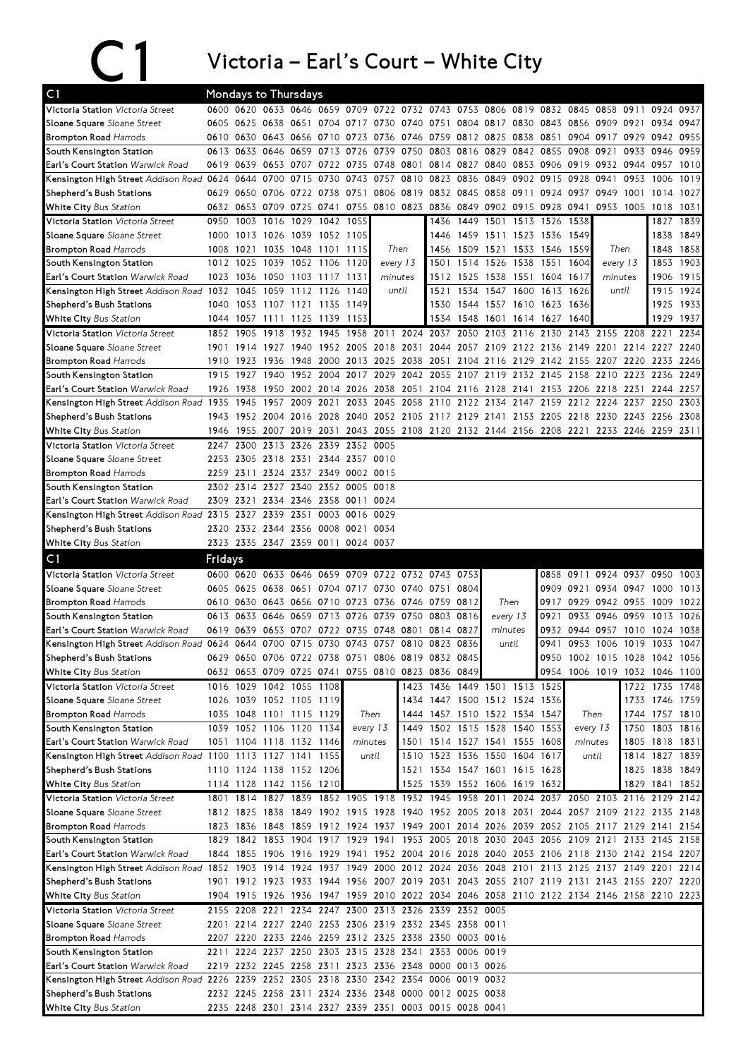## C1 Victoria – Earl's Court – White City

| C <sub>1</sub>                                                                                                               | <b>Mondays to Thursdays</b> |           |                     |                          |           |                                    |                                              |          |                                                                                                                  |                     |                |          |                                    |           |                                    |           |                |           |
|------------------------------------------------------------------------------------------------------------------------------|-----------------------------|-----------|---------------------|--------------------------|-----------|------------------------------------|----------------------------------------------|----------|------------------------------------------------------------------------------------------------------------------|---------------------|----------------|----------|------------------------------------|-----------|------------------------------------|-----------|----------------|-----------|
| Victoria Station Victoria Street                                                                                             |                             |           |                     |                          |           | 0600 0620 0633 0646 0659 0709      |                                              |          | 0722 0732 0743 0753 0806 0819                                                                                    |                     |                |          | 0832 0845                          |           | 0858                               | 0911      | 0924           | 0937      |
| Sloane Square Sloane Street                                                                                                  |                             |           |                     |                          |           |                                    |                                              |          | 0605 0625 0638 0651 0704 0717 0730 0740 0751 0804 0817 0830                                                      |                     |                |          |                                    |           | 0843 0856 0909 0921                |           | 0934           | 0947      |
| <b>Brompton Road Harrods</b>                                                                                                 |                             |           |                     |                          |           |                                    |                                              |          | 0610 0630 0643 0656 0710 0723 0736 0746 0759 0812 0825 0838                                                      |                     |                |          | 0851                               |           | 0904 0917 0929 0942 0955           |           |                |           |
| South Kensington Station                                                                                                     |                             |           |                     |                          |           | 0613 0633 0646 0659 0713 0726      | 0739 0750                                    |          |                                                                                                                  | 0803 0816 0829      |                |          | 0842 0855 0908 0921                |           |                                    | 0933      | 0946           | 0959      |
| <b>Earl's Court Station Warwick Road</b>                                                                                     |                             | 0619 0639 |                     | 0653 0707 0722           |           | 0735                               | 0748 0801                                    |          |                                                                                                                  |                     |                |          | 0814 0827 0840 0853 0906 0919 0932 |           |                                    | 0944 0957 |                | 1010      |
| Kensington High Street Addison Road 0624 0644 0700 0715                                                                      |                             |           |                     |                          | 0730      | 0743                               |                                              |          | 0757 0810 0823 0836 0849 0902 0915 0928                                                                          |                     |                |          |                                    |           | 0941                               | 0953      | 1006           | 1019      |
| Shepherd's Bush Stations                                                                                                     |                             |           |                     | 0629 0650 0706 0722 0738 |           |                                    |                                              |          | 0751 0806 0819 0832 0845 0858 0911                                                                               |                     |                |          | 0924 0937                          |           | 0949                               | 1001      | 1014           | 1027      |
| White City Bus Station                                                                                                       |                             |           |                     | 0632 0653 0709 0725 0741 |           |                                    |                                              |          | 0755 0810 0823 0836 0849 0902 0915                                                                               |                     |                |          | 0928 0941                          |           | 0953 1005                          |           | 1018           | 1031      |
| Victoria Station Victoria Street                                                                                             | 0950                        | 1003      | 1016                | 1029                     | 1042      | 1055                               |                                              |          | 1436                                                                                                             |                     | 1449 1501      | 1513     | 1526                               | 1538      |                                    |           | 1827           | 1839      |
| Sloane Square Sloane Street                                                                                                  | 1000                        |           |                     | 1013 1026 1039 1052 1105 |           |                                    |                                              |          | 1446                                                                                                             |                     |                |          | 1459 1511 1523 1536 1549           |           |                                    |           | 1838           | 1849      |
| <b>Brompton Road Harrods</b>                                                                                                 | 1008                        |           |                     | 1021 1035 1048 1101 1115 |           |                                    |                                              | Then     | 1456                                                                                                             |                     |                |          | 1509 1521 1533 1546 1559           |           | Then                               |           |                | 1848 1858 |
| South Kensington Station                                                                                                     |                             | 1012 1025 |                     | 1039 1052 1106           |           | 1120                               |                                              | every 13 | 1501                                                                                                             |                     | 1514 1526 1538 |          | 1551 1604                          |           | every 13                           |           |                | 1853 1903 |
| Earl's Court Station Warwick Road                                                                                            |                             |           |                     | 1023 1036 1050 1103 1117 |           | 1131                               | minutes                                      |          | 1512                                                                                                             |                     |                |          | 1525 1538 1551 1604 1617           |           | minutes                            |           |                | 1906 1915 |
| Kensington High Street Addison Road 1032                                                                                     |                             | 1045      | 1059 1112           |                          | 1126      | 1140                               |                                              | until    | 1521                                                                                                             |                     |                |          | 1534 1547 1600 1613 1626           |           |                                    | until     | 1915           | 1924      |
| Shepherd's Bush Stations                                                                                                     | 1040                        |           |                     | 1053 1107 1121 1135      |           | 1149                               |                                              |          | 1530                                                                                                             |                     |                |          | 1544 1557 1610 1623 1636           |           |                                    |           |                | 1925 1933 |
| White City Bus Station                                                                                                       | 1044 1057                   |           |                     | 1111 1125 1139           |           | 1153                               |                                              |          | 1534                                                                                                             |                     |                |          | 1548 1601 1614 1627 1640           |           |                                    |           | 1929           | 1937      |
| Victoria Station Victoria Street                                                                                             |                             | 1852 1905 | 1918                |                          | 1932 1945 |                                    |                                              |          | 1958 2011 2024 2037 2050 2103 2116 2130                                                                          |                     |                |          |                                    |           | 2143 2155 2208 2221                |           |                | 2234      |
| Sloane Square Sloane Street                                                                                                  | 1901                        |           |                     |                          |           |                                    |                                              |          | 1914 1927 1940 1952 2005 2018 2031 2044 2057 2109 2122 2136 2149 2201 2214 2227                                  |                     |                |          |                                    |           |                                    |           |                | 2240      |
| <b>Brompton Road Harrods</b>                                                                                                 | 1910                        |           | 1923 1936 1948      |                          | 2000      |                                    | 2013 2025 2038                               |          | 2051                                                                                                             |                     |                |          |                                    |           | 2104 2116 2129 2142 2155 2207 2220 |           | 2233           | 2246      |
| South Kensington Station                                                                                                     | 1915                        | 1927      |                     |                          |           |                                    |                                              |          | 1940 1952 2004 2017 2029 2042 2055 2107 2119 2132 2145 2158 2210 2223 2236                                       |                     |                |          |                                    |           |                                    |           |                | 2249      |
| Earl's Court Station Warwick Road                                                                                            | 1926                        | 1938      |                     | 1950 2002                | 2014      |                                    | 2026 2038 2051                               |          |                                                                                                                  | 2104 2116 2128 2141 |                |          |                                    |           | 2153 2206 2218                     | 2231      | 2244           | 2257      |
| Kensington High Street Addison Road 1935                                                                                     |                             | 1945      | 1957                | 2009                     | 2021      |                                    | 2033 2045                                    | 2058     | 2110                                                                                                             | 2122 2134 2147      |                |          |                                    |           | 2159 2212 2224                     | 2237      | 2250           | 2303      |
| Shepherd's Bush Stations                                                                                                     |                             |           | 1943 1952 2004 2016 |                          |           |                                    |                                              |          | 2028 2040 2052 2105 2117 2129 2141 2153 2205 2218 2230 2243 2256 2308                                            |                     |                |          |                                    |           |                                    |           |                |           |
| <b>White City Bus Station</b>                                                                                                | 1946                        |           | 1955 2007 2019      |                          |           |                                    |                                              |          | 2031 2043 2055 2108 2120 2132 2144 2156 2208 2221 2233 2246 2259 2311                                            |                     |                |          |                                    |           |                                    |           |                |           |
| Victoria Station Victoria Street                                                                                             | 2247                        | 2300      | 2313 2326           |                          | 2339      | 2352 0005                          |                                              |          |                                                                                                                  |                     |                |          |                                    |           |                                    |           |                |           |
| Sloane Square Sloane Street                                                                                                  |                             |           |                     |                          |           | 2253 2305 2318 2331 2344 2357 0010 |                                              |          |                                                                                                                  |                     |                |          |                                    |           |                                    |           |                |           |
| <b>Brompton Road Harrods</b>                                                                                                 |                             | 2259 2311 |                     | 2324 2337                |           | 2349 0002 0015                     |                                              |          |                                                                                                                  |                     |                |          |                                    |           |                                    |           |                |           |
| South Kensington Station                                                                                                     |                             | 2302 2314 | 2327 2340           |                          |           | 2352 0005 0018                     |                                              |          |                                                                                                                  |                     |                |          |                                    |           |                                    |           |                |           |
| Earl's Court Station Warwick Road                                                                                            | 2309 2321                   |           |                     |                          |           | 2334 2346 2358 0011 0024           |                                              |          |                                                                                                                  |                     |                |          |                                    |           |                                    |           |                |           |
| Kensington High Street Addison Road 2315 2327                                                                                |                             |           | 2339 2351           |                          | 0003      | 0016 0029                          |                                              |          |                                                                                                                  |                     |                |          |                                    |           |                                    |           |                |           |
| Shepherd's Bush Stations                                                                                                     |                             |           |                     |                          |           | 2320 2332 2344 2356 0008 0021 0034 |                                              |          |                                                                                                                  |                     |                |          |                                    |           |                                    |           |                |           |
| White City Bus Station                                                                                                       |                             |           |                     | 2323 2335 2347 2359 0011 |           | 0024 0037                          |                                              |          |                                                                                                                  |                     |                |          |                                    |           |                                    |           |                |           |
|                                                                                                                              |                             |           |                     |                          |           |                                    |                                              |          |                                                                                                                  |                     |                |          |                                    |           |                                    |           |                |           |
|                                                                                                                              |                             |           |                     |                          |           |                                    |                                              |          |                                                                                                                  |                     |                |          |                                    |           |                                    |           |                |           |
| C <sub>1</sub>                                                                                                               | Fridays                     |           |                     |                          |           |                                    |                                              |          |                                                                                                                  |                     |                |          |                                    |           |                                    |           |                |           |
| Victoria Station Victoria Street                                                                                             |                             |           | 0600 0620 0633 0646 |                          |           |                                    |                                              |          | 0659 0709 0722 0732 0743 0753                                                                                    |                     |                |          |                                    |           | 0858 0911 0924 0937 0950           |           |                | 1003      |
| Sloane Square Sloane Street                                                                                                  |                             |           |                     |                          |           |                                    | 0605 0625 0638 0651 0704 0717 0730 0740 0751 |          |                                                                                                                  | 0804                |                |          |                                    |           | 0909 0921 0934 0947                |           | 1000           | 1013      |
|                                                                                                                              |                             | 0610 0630 |                     | 0643 0656 0710           |           |                                    | 0723 0736 0746 0759                          |          |                                                                                                                  | 0812                | Then           |          | 0917                               |           | 0929 0942 0955                     |           | 1009           | 1022      |
| South Kensington Station                                                                                                     |                             |           | 0613 0633 0646 0659 |                          | 0713      |                                    | 0726 0739 0750 0803                          |          |                                                                                                                  | 0816                |                | every 13 | 0921                               |           | 0933 0946                          | 0959      | 1013           | 1026      |
|                                                                                                                              | 0619                        | 0639      | 0653                | 0707                     | 0722      | 0735                               | 0748                                         | 0801     | 0814                                                                                                             | 0827                | minutes        |          | 0932                               | 0944 0957 |                                    | 1010      | 1024           | 1038      |
| <b>Brompton Road Harrods</b><br>Earl's Court Station Warwick Road<br>Kensington High Street Addison Road 0624 0644 0700 0715 |                             |           |                     |                          |           |                                    | 0730 0743 0757 0810                          |          | 0823                                                                                                             | 0836                | until          |          | 0941                               |           | 0953 1006 1019                     |           | 1033           | 1047      |
| Shepherd's Bush Stations                                                                                                     |                             |           |                     |                          |           |                                    |                                              |          | 0629 0650 0706 0722 0738 0751 0806 0819 0832 0845                                                                |                     |                |          |                                    |           | 0950 1002 1015 1028 1042 1056      |           |                |           |
| <b>White City Bus Station</b>                                                                                                |                             |           |                     |                          |           |                                    |                                              |          | 0632 0653 0709 0725 0741 0755 0810 0823 0836 0849                                                                |                     |                |          |                                    |           | 0954 1006 1019 1032 1046 1100      |           |                |           |
| Victoria Station Victoria Street                                                                                             |                             |           |                     | 1016 1029 1042 1055 1108 |           |                                    |                                              |          | 1423 1436 1449 1501 1513 1525                                                                                    |                     |                |          |                                    |           |                                    |           | 1722 1735 1748 |           |
| Sloane Square Sloane Street                                                                                                  |                             |           |                     | 1026 1039 1052 1105 1119 |           |                                    |                                              |          | 1434 1447 1500 1512 1524 1536                                                                                    |                     |                |          |                                    |           |                                    |           | 1733 1746 1759 |           |
| <b>Brompton Road Harrods</b>                                                                                                 |                             |           |                     | 1035 1048 1101 1115 1129 |           |                                    | Then                                         |          | 1444 1457 1510 1522 1534 1547                                                                                    |                     |                |          |                                    |           | Then                               |           | 1744 1757 1810 |           |
| South Kensington Station                                                                                                     |                             |           |                     | 1039 1052 1106 1120 1134 |           |                                    | every 13                                     |          | 1449 1502 1515 1528 1540 1553                                                                                    |                     |                |          |                                    |           | every 13                           | 1750      | 1803 1816      |           |
| Earl's Court Station Warwick Road                                                                                            |                             |           |                     | 1051 1104 1118 1132 1146 |           |                                    | minutes                                      |          | 1501 1514 1527 1541 1555 1608                                                                                    |                     |                |          |                                    |           | minutes                            |           | 1805 1818 1831 |           |
|                                                                                                                              |                             |           |                     | 1100 1113 1127 1141 1155 |           |                                    | until                                        |          | 1510 1523 1536 1550 1604 1617                                                                                    |                     |                |          |                                    |           | until                              |           | 1814 1827 1839 |           |
| Kensington High Street Addison Road<br>Shepherd's Bush Stations                                                              |                             |           |                     | 1110 1124 1138 1152 1206 |           |                                    |                                              |          | 1521 1534 1547 1601 1615 1628                                                                                    |                     |                |          |                                    |           |                                    |           | 1825 1838 1849 |           |
| White City Bus Station                                                                                                       |                             |           |                     | 1114 1128 1142 1156 1210 |           |                                    |                                              |          | 1525 1539 1552 1606 1619 1632                                                                                    |                     |                |          |                                    |           |                                    |           | 1829 1841 1852 |           |
| Victoria Station Victoria Street                                                                                             |                             |           |                     |                          |           |                                    |                                              |          | 1801 1814 1827 1839 1852 1905 1918 1932 1945 1958 2011 2024 2037 2050 2103 2116 2129 2142                        |                     |                |          |                                    |           |                                    |           |                |           |
| Sloane Square Sloane Street                                                                                                  |                             |           |                     |                          |           |                                    |                                              |          | 1812 1825 1838 1849 1902 1915 1928 1940 1952 2005 2018 2031 2044 2057 2109 2122 2135 2148                        |                     |                |          |                                    |           |                                    |           |                |           |
| <b>Brompton Road Harrods</b>                                                                                                 |                             |           |                     |                          |           |                                    |                                              |          | 1823 1836 1848 1859 1912 1924 1937 1949 2001 2014 2026 2039 2052 2105 2117 2129 2141 2154                        |                     |                |          |                                    |           |                                    |           |                |           |
| South Kensington Station                                                                                                     |                             |           |                     |                          |           |                                    |                                              |          | 1829 1842 1853 1904 1917 1929 1941 1953 2005 2018 2030 2043 2056 2109 2121 2133 2145 2158                        |                     |                |          |                                    |           |                                    |           |                |           |
| Earl's Court Station Warwick Road                                                                                            |                             |           |                     |                          |           |                                    |                                              |          | 1844 1855 1906 1916 1929 1941 1952 2004 2016 2028 2040 2053 2106 2118 2130 2142 2154 2207                        |                     |                |          |                                    |           |                                    |           |                |           |
| Kensington High Street Addison Road                                                                                          |                             |           |                     |                          |           |                                    |                                              |          | 1852 1903 1914 1924 1937 1949 2000 2012 2024 2036 2048 2101 2113 2125 2137 2149 2201 2214                        |                     |                |          |                                    |           |                                    |           |                |           |
| Shepherd's Bush Stations                                                                                                     |                             |           |                     |                          |           |                                    |                                              |          | 1901 1912 1923 1933 1944 1956 2007 2019 2031 2043 2055 2107 2119 2131 2143 2155 2207 2220                        |                     |                |          |                                    |           |                                    |           |                |           |
| White City Bus Station                                                                                                       |                             |           |                     |                          |           |                                    |                                              |          | 1904 1915 1926 1936 1947 1959 2010 2022 2034 2046 2058 2110 2122 2134 2146 2158 2210 2223                        |                     |                |          |                                    |           |                                    |           |                |           |
| Victoria Station Victoria Street                                                                                             |                             |           |                     |                          |           |                                    |                                              |          | 2155 2208 2221 2234 2247 2300 2313 2326 2339 2352 0005                                                           |                     |                |          |                                    |           |                                    |           |                |           |
| Sloane Square Sloane Street                                                                                                  |                             |           |                     |                          |           |                                    |                                              |          | 2201 2214 2227 2240 2253 2306 2319 2332 2345 2358 0011                                                           |                     |                |          |                                    |           |                                    |           |                |           |
|                                                                                                                              |                             |           |                     |                          |           |                                    |                                              |          | 2207 2220 2233 2246 2259 2312 2325 2338 2350 0003 0016                                                           |                     |                |          |                                    |           |                                    |           |                |           |
| <b>Brompton Road Harrods</b><br>South Kensington Station                                                                     |                             |           |                     |                          |           |                                    | 2211 2224 2237 2250 2303 2315 2328 2341      |          |                                                                                                                  | 2353 0006 0019      |                |          |                                    |           |                                    |           |                |           |
| Earl's Court Station Warwick Road                                                                                            |                             |           |                     |                          |           |                                    |                                              |          | 2219 2232 2245 2258 2311 2323 2336 2348 0000 0013 0026                                                           |                     |                |          |                                    |           |                                    |           |                |           |
| Kensington High Street Addison Road 2226 2239 2252 2305 2318 2330 2342 2354 0006 0019 0032                                   |                             |           |                     |                          |           |                                    |                                              |          |                                                                                                                  |                     |                |          |                                    |           |                                    |           |                |           |
| Shepherd's Bush Stations<br><b>White City Bus Station</b>                                                                    |                             |           |                     |                          |           |                                    |                                              |          | 2232 2245 2258 2311 2324 2336 2348 0000 0012 0025 0038<br>2235 2248 2301 2314 2327 2339 2351 0003 0015 0028 0041 |                     |                |          |                                    |           |                                    |           |                |           |